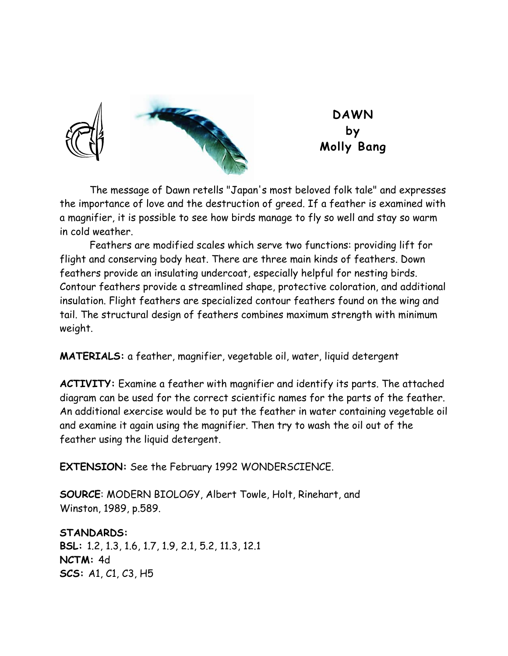



**DAWN by Molly Bang** 

 The message of Dawn retells "Japan's most beloved folk tale" and expresses the importance of love and the destruction of greed. If a feather is examined with a magnifier, it is possible to see how birds manage to fly so well and stay so warm in cold weather.

 Feathers are modified scales which serve two functions: providing lift for flight and conserving body heat. There are three main kinds of feathers. Down feathers provide an insulating undercoat, especially helpful for nesting birds. Contour feathers provide a streamlined shape, protective coloration, and additional insulation. Flight feathers are specialized contour feathers found on the wing and tail. The structural design of feathers combines maximum strength with minimum weight.

**MATERIALS:** a feather, magnifier, vegetable oil, water, liquid detergent

**ACTIVITY:** Examine a feather with magnifier and identify its parts. The attached diagram can be used for the correct scientific names for the parts of the feather. An additional exercise would be to put the feather in water containing vegetable oil and examine it again using the magnifier. Then try to wash the oil out of the feather using the liquid detergent.

**EXTENSION:** See the February 1992 WONDERSCIENCE.

**SOURCE**: MODERN BIOLOGY, Albert Towle, Holt, Rinehart, and Winston, 1989, p.589.

**STANDARDS: BSL:** 1.2, 1.3, 1.6, 1.7, 1.9, 2.1, 5.2, 11.3, 12.1 **NCTM:** 4d **SCS:** A1, C1, C3, H5